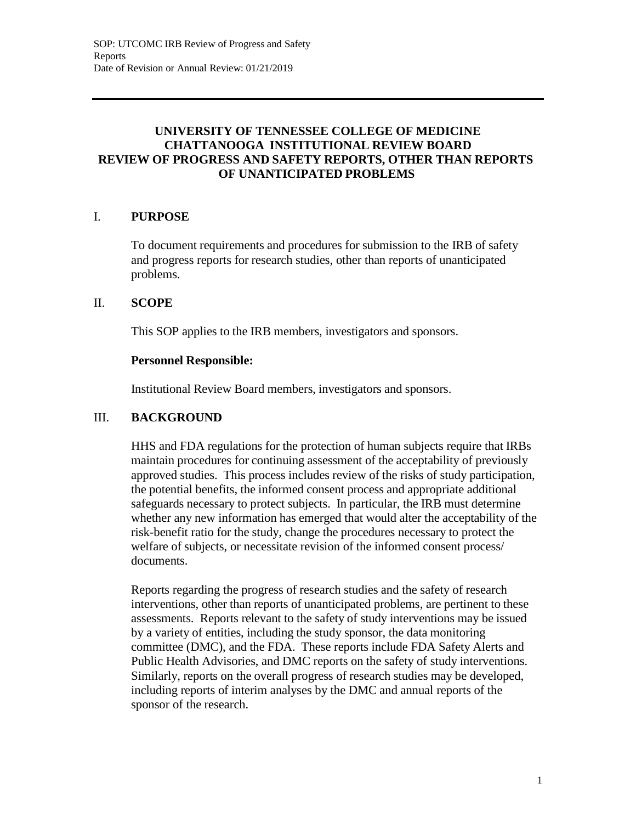## **UNIVERSITY OF TENNESSEE COLLEGE OF MEDICINE CHATTANOOGA INSTITUTIONAL REVIEW BOARD REVIEW OF PROGRESS AND SAFETY REPORTS, OTHER THAN REPORTS OF UNANTICIPATED PROBLEMS**

### I. **PURPOSE**

To document requirements and procedures for submission to the IRB of safety and progress reports for research studies, other than reports of unanticipated problems.

#### II. **SCOPE**

This SOP applies to the IRB members, investigators and sponsors.

#### **Personnel Responsible:**

Institutional Review Board members, investigators and sponsors.

#### III. **BACKGROUND**

HHS and FDA regulations for the protection of human subjects require that IRBs maintain procedures for continuing assessment of the acceptability of previously approved studies. This process includes review of the risks of study participation, the potential benefits, the informed consent process and appropriate additional safeguards necessary to protect subjects. In particular, the IRB must determine whether any new information has emerged that would alter the acceptability of the risk-benefit ratio for the study, change the procedures necessary to protect the welfare of subjects, or necessitate revision of the informed consent process/ documents.

Reports regarding the progress of research studies and the safety of research interventions, other than reports of unanticipated problems, are pertinent to these assessments. Reports relevant to the safety of study interventions may be issued by a variety of entities, including the study sponsor, the data monitoring committee (DMC), and the FDA. These reports include FDA Safety Alerts and Public Health Advisories, and DMC reports on the safety of study interventions. Similarly, reports on the overall progress of research studies may be developed, including reports of interim analyses by the DMC and annual reports of the sponsor of the research.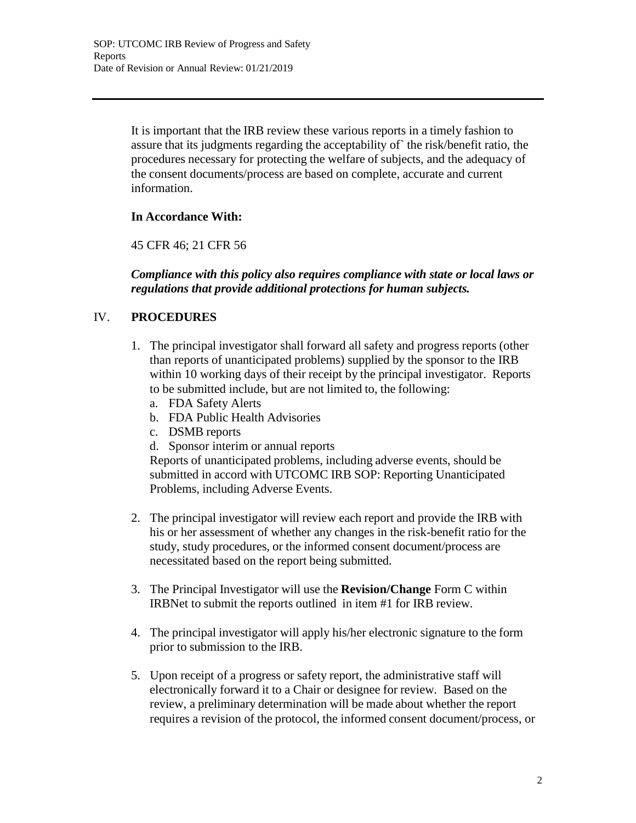It is important that the IRB review these various reports in a timely fashion to assure that its judgments regarding the acceptability of` the risk/benefit ratio, the procedures necessary for protecting the welfare of subjects, and the adequacy of the consent documents/process are based on complete, accurate and current information.

## **In Accordance With:**

45 CFR 46; 21 CFR 56

*Compliance with this policy also requires compliance with state or local laws or regulations that provide additional protections for human subjects.*

# IV. **PROCEDURES**

- 1. The principal investigator shall forward all safety and progress reports (other than reports of unanticipated problems) supplied by the sponsor to the IRB within 10 working days of their receipt by the principal investigator. Reports to be submitted include, but are not limited to, the following:
	- a. FDA Safety Alerts
	- b. FDA Public Health Advisories
	- c. DSMB reports
	- d. Sponsor interim or annual reports

Reports of unanticipated problems, including adverse events, should be submitted in accord with UTCOMC IRB SOP: Reporting Unanticipated Problems, including Adverse Events.

- 2. The principal investigator will review each report and provide the IRB with his or her assessment of whether any changes in the risk-benefit ratio for the study, study procedures, or the informed consent document/process are necessitated based on the report being submitted.
- 3. The Principal Investigator will use the **Revision/Change** Form C within IRBNet to submit the reports outlined in item #1 for IRB review.
- 4. The principal investigator will apply his/her electronic signature to the form prior to submission to the IRB.
- 5. Upon receipt of a progress or safety report, the administrative staff will electronically forward it to a Chair or designee for review. Based on the review, a preliminary determination will be made about whether the report requires a revision of the protocol, the informed consent document/process, or